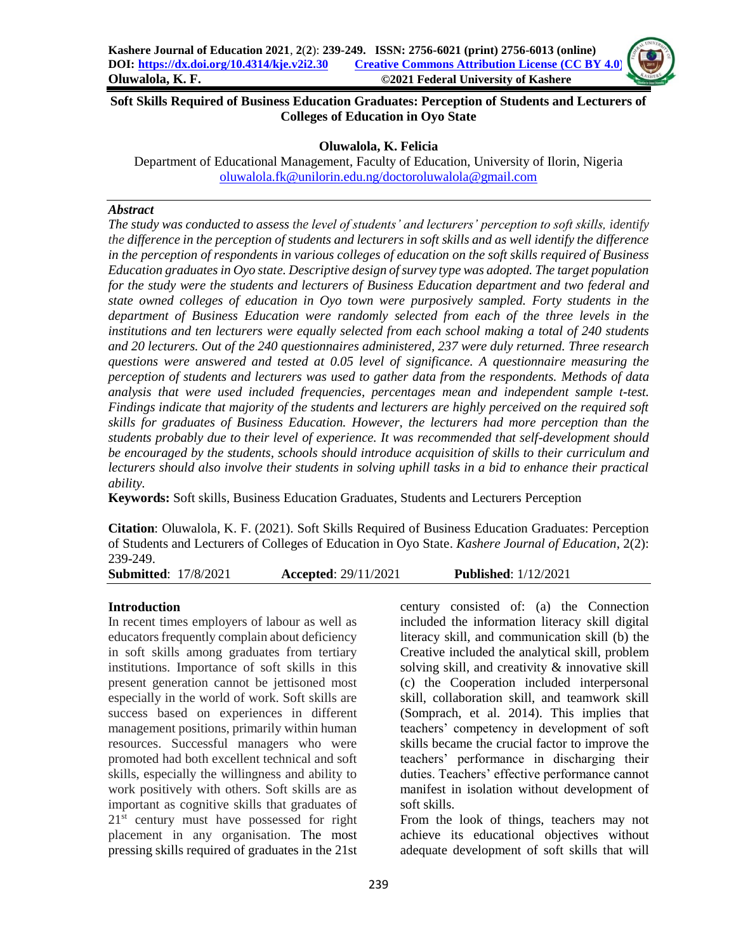### **Soft Skills Required of Business Education Graduates: Perception of Students and Lecturers of Colleges of Education in Oyo State**

## **Oluwalola, K. Felicia**

Department of Educational Management, Faculty of Education, University of Ilorin, Nigeria [oluwalola.fk@unilorin.edu.ng/doctoroluwalola@gmail.com](mailto:oluwalola.fk@unilorin.edu.ng/doctoroluwalola@gmail.com)

#### *Abstract*

*The study was conducted to assess the level of students' and lecturers' perception to soft skills, identify the difference in the perception of students and lecturers in soft skills and as well identify the difference in the perception of respondents in various colleges of education on the soft skills required of Business Education graduates in Oyo state. Descriptive design of survey type was adopted. The target population for the study were the students and lecturers of Business Education department and two federal and state owned colleges of education in Oyo town were purposively sampled. Forty students in the department of Business Education were randomly selected from each of the three levels in the institutions and ten lecturers were equally selected from each school making a total of 240 students and 20 lecturers. Out of the 240 questionnaires administered, 237 were duly returned. Three research questions were answered and tested at 0.05 level of significance. A questionnaire measuring the perception of students and lecturers was used to gather data from the respondents. Methods of data analysis that were used included frequencies, percentages mean and independent sample t-test. Findings indicate that majority of the students and lecturers are highly perceived on the required soft skills for graduates of Business Education. However, the lecturers had more perception than the students probably due to their level of experience. It was recommended that self-development should be encouraged by the students, schools should introduce acquisition of skills to their curriculum and lecturers should also involve their students in solving uphill tasks in a bid to enhance their practical ability.*

**Keywords:** Soft skills, Business Education Graduates, Students and Lecturers Perception

**Citation**: Oluwalola, K. F. (2021). Soft Skills Required of Business Education Graduates: Perception of Students and Lecturers of Colleges of Education in Oyo State. *Kashere Journal of Education*, 2(2): 239-249.

**Submitted**: 17/8/2021 **Accepted**: 29/11/2021 **Published**: 1/12/2021

### **Introduction**

In recent times employers of labour as well as educators frequently complain about deficiency in soft skills among graduates from tertiary institutions. Importance of soft skills in this present generation cannot be jettisoned most especially in the world of work. Soft skills are success based on experiences in different management positions, primarily within human resources. Successful managers who were promoted had both excellent technical and soft skills, especially the willingness and ability to work positively with others. Soft skills are as important as cognitive skills that graduates of 21<sup>st</sup> century must have possessed for right placement in any organisation. The most pressing skills required of graduates in the 21st century consisted of: (a) the Connection included the information literacy skill digital literacy skill, and communication skill (b) the Creative included the analytical skill, problem solving skill, and creativity & innovative skill (c) the Cooperation included interpersonal skill, collaboration skill, and teamwork skill (Somprach, et al. 2014). This implies that teachers' competency in development of soft skills became the crucial factor to improve the teachers' performance in discharging their duties. Teachers' effective performance cannot manifest in isolation without development of soft skills.

From the look of things, teachers may not achieve its educational objectives without adequate development of soft skills that will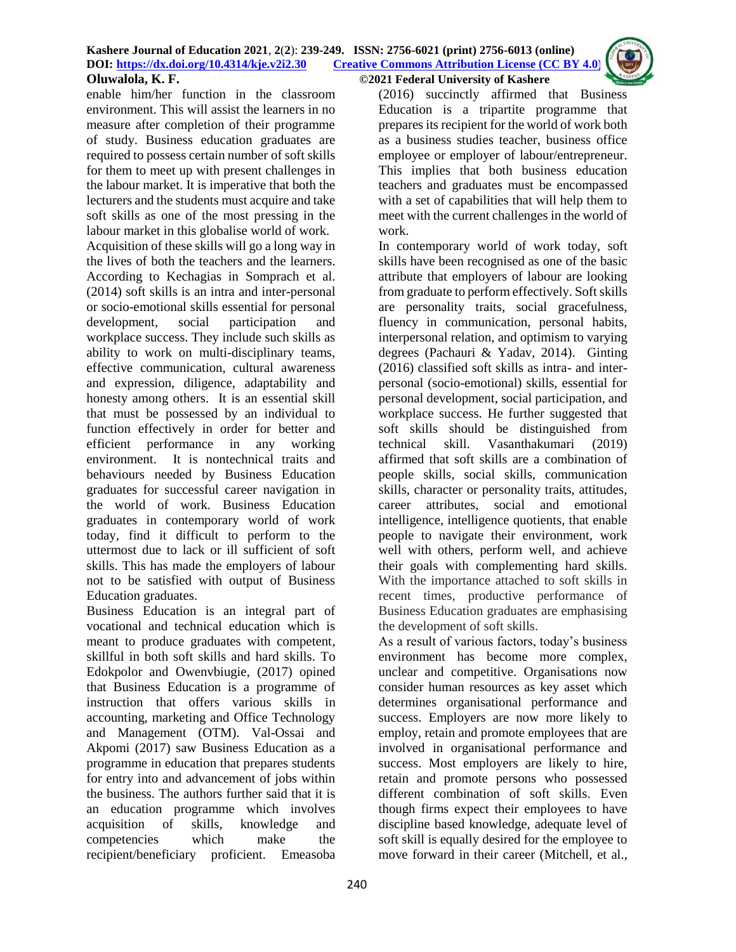enable him/her function in the classroom environment. This will assist the learners in no measure after completion of their programme of study. Business education graduates are required to possess certain number of soft skills for them to meet up with present challenges in the labour market. It is imperative that both the lecturers and the students must acquire and take soft skills as one of the most pressing in the labour market in this globalise world of work.

Acquisition of these skills will go a long way in the lives of both the teachers and the learners. According to Kechagias in Somprach et al. (2014) soft skills is an intra and inter-personal or socio-emotional skills essential for personal development, social participation and workplace success. They include such skills as ability to work on multi-disciplinary teams, effective communication, cultural awareness and expression, diligence, adaptability and honesty among others. It is an essential skill that must be possessed by an individual to function effectively in order for better and efficient performance in any working environment. It is nontechnical traits and behaviours needed by Business Education graduates for successful career navigation in the world of work. Business Education graduates in contemporary world of work today, find it difficult to perform to the uttermost due to lack or ill sufficient of soft skills. This has made the employers of labour not to be satisfied with output of Business Education graduates.

Business Education is an integral part of vocational and technical education which is meant to produce graduates with competent, skillful in both soft skills and hard skills. To Edokpolor and Owenvbiugie, (2017) opined that Business Education is a programme of instruction that offers various skills in accounting, marketing and Office Technology and Management (OTM). Val-Ossai and Akpomi (2017) saw Business Education as a programme in education that prepares students for entry into and advancement of jobs within the business. The authors further said that it is an education programme which involves acquisition of skills, knowledge and competencies which make the recipient/beneficiary proficient. Emeasoba

(2016) succinctly affirmed that Business Education is a tripartite programme that prepares its recipient for the world of work both as a business studies teacher, business office employee or employer of labour/entrepreneur. This implies that both business education teachers and graduates must be encompassed with a set of capabilities that will help them to meet with the current challenges in the world of work.

In contemporary world of work today, soft skills have been recognised as one of the basic attribute that employers of labour are looking from graduate to perform effectively. Soft skills are personality traits, social gracefulness, fluency in communication, personal habits, interpersonal relation, and optimism to varying degrees (Pachauri & Yadav, 2014). Ginting (2016) classified soft skills as intra- and interpersonal (socio-emotional) skills, essential for personal development, social participation, and workplace success. He further suggested that soft skills should be distinguished from technical skill. Vasanthakumari (2019) affirmed that soft skills are a combination of people skills, social skills, communication skills, character or personality traits, attitudes, career attributes, social and emotional intelligence, intelligence quotients, that enable people to navigate their environment, work well with others, perform well, and achieve their goals with complementing hard skills. With the importance attached to soft skills in recent times, productive performance of Business Education graduates are emphasising the development of soft skills.

As a result of various factors, today's business environment has become more complex, unclear and competitive. Organisations now consider human resources as key asset which determines organisational performance and success. Employers are now more likely to employ, retain and promote employees that are involved in organisational performance and success. Most employers are likely to hire, retain and promote persons who possessed different combination of soft skills. Even though firms expect their employees to have discipline based knowledge, adequate level of soft skill is equally desired for the employee to move forward in their career (Mitchell, et al.,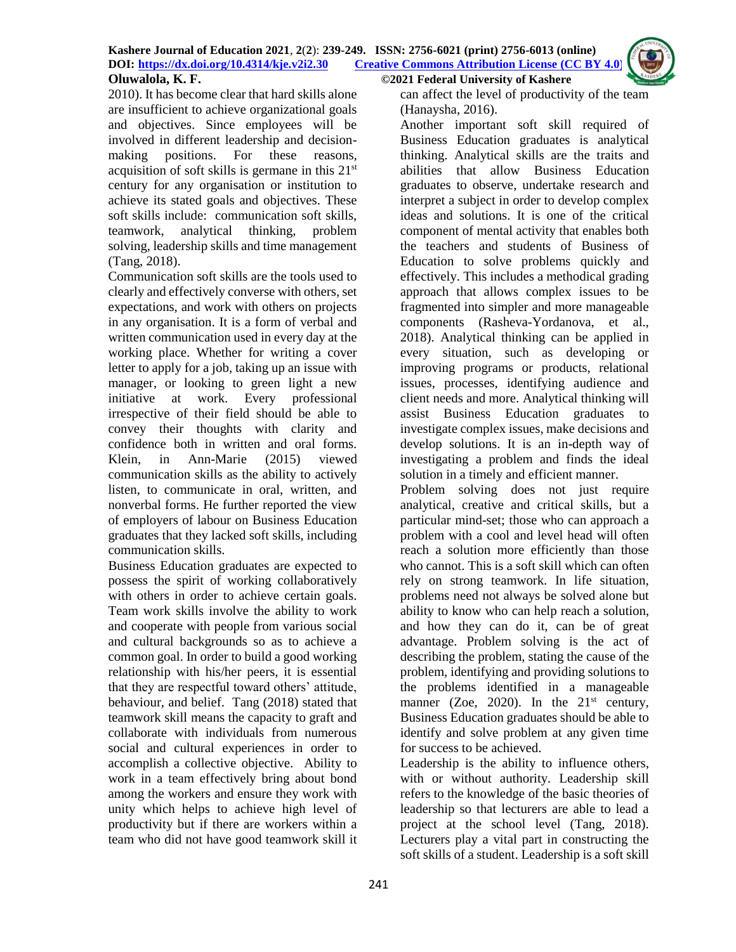

2010). It has become clear that hard skills alone are insufficient to achieve organizational goals and objectives. Since employees will be involved in different leadership and decisionmaking positions. For these reasons, acquisition of soft skills is germane in this 21st century for any organisation or institution to achieve its stated goals and objectives. These soft skills include: communication soft skills, teamwork, analytical thinking, problem solving, leadership skills and time management (Tang, 2018).

Communication soft skills are the tools used to clearly and effectively converse with others, set expectations, and work with others on projects in any organisation. It is a form of verbal and written communication used in every day at the working place. Whether for writing a cover letter to apply for a job, taking up an issue with manager, or looking to green light a new initiative at work. Every professional irrespective of their field should be able to convey their thoughts with clarity and confidence both in written and oral forms. Klein, in Ann-Marie (2015) viewed communication skills as the ability to actively listen, to communicate in oral, written, and nonverbal forms. He further reported the view of employers of labour on Business Education graduates that they lacked soft skills, including communication skills.

Business Education graduates are expected to possess the spirit of working collaboratively with others in order to achieve certain goals. Team work skills involve the ability to work and cooperate with people from various social and cultural backgrounds so as to achieve a common goal. In order to build a good working relationship with his/her peers, it is essential that they are respectful toward others' attitude, behaviour, and belief. Tang (2018) stated that teamwork skill means the capacity to graft and collaborate with individuals from numerous social and cultural experiences in order to accomplish a collective objective. Ability to work in a team effectively bring about bond among the workers and ensure they work with unity which helps to achieve high level of productivity but if there are workers within a team who did not have good teamwork skill it

can affect the level of productivity of the team

(Hanaysha, 2016). Another important soft skill required of Business Education graduates is analytical thinking. Analytical skills are the traits and abilities that allow Business Education graduates to observe, undertake research and interpret a subject in order to develop complex ideas and solutions. It is one of the critical component of mental activity that enables both the teachers and students of Business of Education to solve problems quickly and effectively. This includes a methodical grading approach that allows complex issues to be fragmented into simpler and more manageable components (Rasheva-Yordanova, et al., 2018). Analytical thinking can be applied in every situation, such as developing or improving programs or products, relational issues, processes, identifying audience and client needs and more. Analytical thinking will assist Business Education graduates to investigate complex issues, make decisions and develop solutions. It is an in-depth way of investigating a problem and finds the ideal solution in a timely and efficient manner.

Problem solving does not just require analytical, creative and critical skills, but a particular mind-set; those who can approach a problem with a cool and level head will often reach a solution more efficiently than those who cannot. This is a soft skill which can often rely on strong teamwork. In life situation, problems need not always be solved alone but ability to know who can help reach a solution, and how they can do it, can be of great advantage. Problem solving is the act of describing the problem, stating the cause of the problem, identifying and providing solutions to the problems identified in a manageable manner (Zoe, 2020). In the  $21<sup>st</sup>$  century, Business Education graduates should be able to identify and solve problem at any given time for success to be achieved.

Leadership is the ability to influence others, with or without authority. Leadership skill refers to the knowledge of the basic theories of leadership so that lecturers are able to lead a project at the school level (Tang, 2018). Lecturers play a vital part in constructing the soft skills of a student. Leadership is a soft skill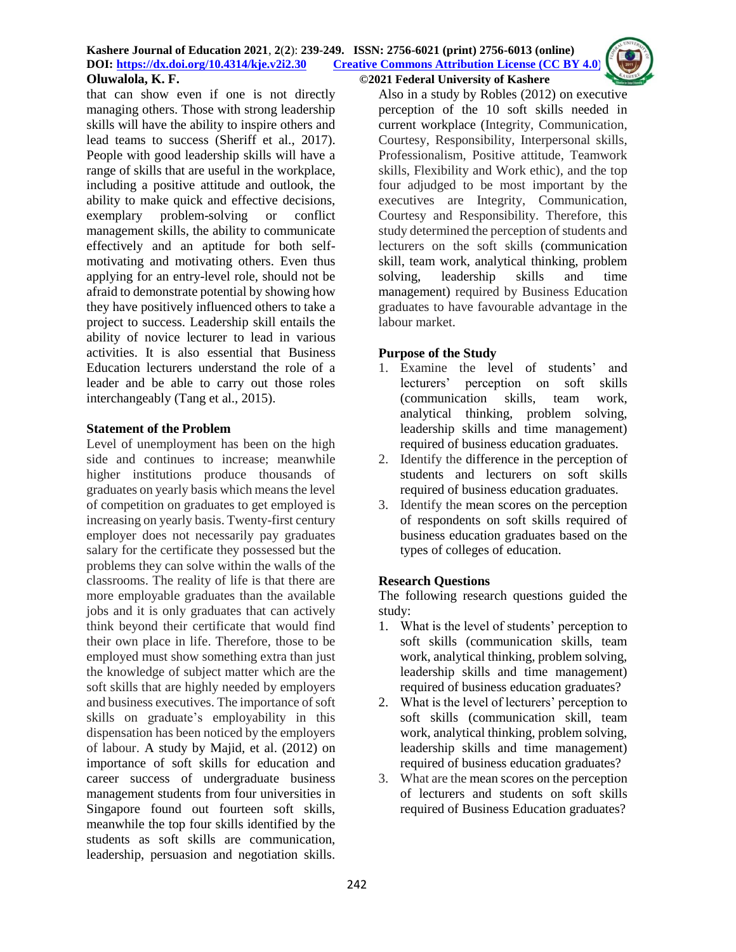that can show even if one is not directly managing others. Those with strong leadership skills will have the ability to inspire others and lead teams to success (Sheriff et al., 2017). People with good leadership skills will have a range of skills that are useful in the workplace, including a positive attitude and outlook, the ability to make quick and effective decisions, exemplary problem-solving or conflict management skills, the ability to communicate effectively and an aptitude for both selfmotivating and motivating others. Even thus applying for an entry-level role, should not be afraid to demonstrate potential by showing how they have positively influenced others to take a project to success. Leadership skill entails the ability of novice lecturer to lead in various activities. It is also essential that Business Education lecturers understand the role of a leader and be able to carry out those roles interchangeably (Tang et al., 2015).

## **Statement of the Problem**

Level of unemployment has been on the high side and continues to increase; meanwhile higher institutions produce thousands of graduates on yearly basis which means the level of competition on graduates to get employed is increasing on yearly basis. Twenty-first century employer does not necessarily pay graduates salary for the certificate they possessed but the problems they can solve within the walls of the classrooms. The reality of life is that there are more employable graduates than the available jobs and it is only graduates that can actively think beyond their certificate that would find their own place in life. Therefore, those to be employed must show something extra than just the knowledge of subject matter which are the soft skills that are highly needed by employers and business executives. The importance of soft skills on graduate's employability in this dispensation has been noticed by the employers of labour. A study by Majid, et al. (2012) on importance of soft skills for education and career success of undergraduate business management students from four universities in Singapore found out fourteen soft skills, meanwhile the top four skills identified by the students as soft skills are communication, leadership, persuasion and negotiation skills.

Also in a study by Robles (2012) on executive perception of the 10 soft skills needed in current workplace (Integrity, Communication, Courtesy, Responsibility, Interpersonal skills, Professionalism, Positive attitude, Teamwork skills, Flexibility and Work ethic), and the top four adjudged to be most important by the executives are Integrity, Communication, Courtesy and Responsibility. Therefore, this study determined the perception of students and lecturers on the soft skills (communication skill, team work, analytical thinking, problem solving, leadership skills and time management) required by Business Education graduates to have favourable advantage in the labour market.

## **Purpose of the Study**

- 1. Examine the level of students' and lecturers' perception on soft skills (communication skills, team work, analytical thinking, problem solving, leadership skills and time management) required of business education graduates.
- 2. Identify the difference in the perception of students and lecturers on soft skills required of business education graduates.
- 3. Identify the mean scores on the perception of respondents on soft skills required of business education graduates based on the types of colleges of education.

# **Research Questions**

The following research questions guided the study:

- 1. What is the level of students' perception to soft skills (communication skills, team work, analytical thinking, problem solving, leadership skills and time management) required of business education graduates?
- 2. What is the level of lecturers' perception to soft skills (communication skill, team work, analytical thinking, problem solving, leadership skills and time management) required of business education graduates?
- 3. What are the mean scores on the perception of lecturers and students on soft skills required of Business Education graduates?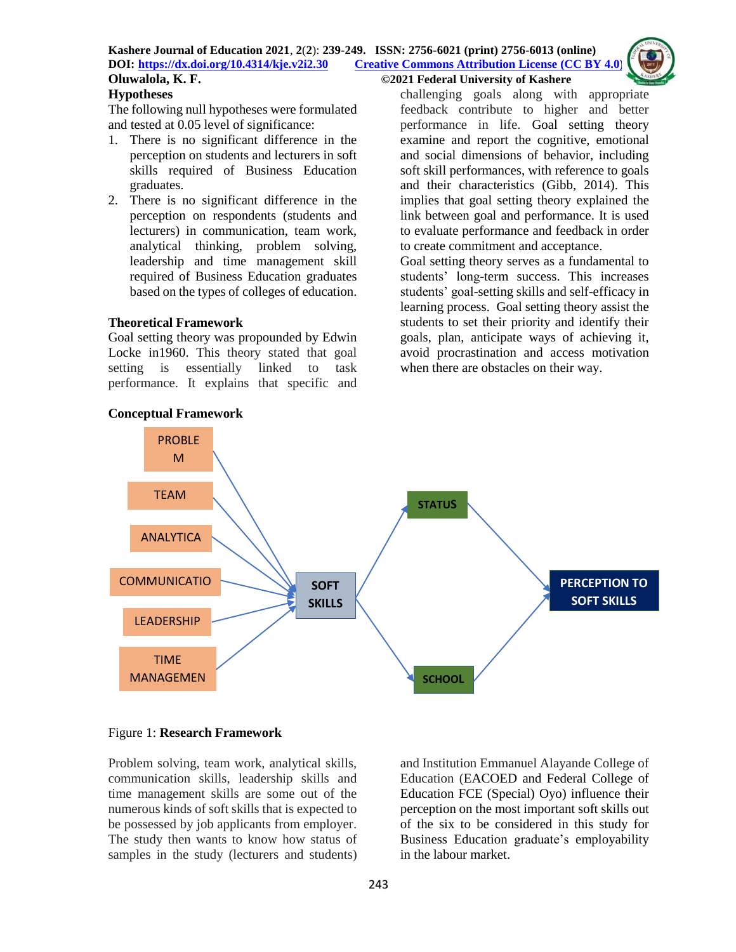#### **Kashere Journal of Education 2021**, **2**(**2**): **239-249. ISSN: 2756-6021 (print) 2756-6013 (online) DOI: <https://dx.doi.org/10.4314/kje.v2i2.30> [Creative Commons Attribution License](http://creativecommons.org/licenses/by/4.0/) (CC BY 4.0) Oluwalola, K. F. ©2021 Federal University of Kashere**

## **Hypotheses**

The following null hypotheses were formulated and tested at 0.05 level of significance:

- 1. There is no significant difference in the perception on students and lecturers in soft skills required of Business Education graduates.
- 2. There is no significant difference in the perception on respondents (students and lecturers) in communication, team work, analytical thinking, problem solving, leadership and time management skill required of Business Education graduates based on the types of colleges of education.

#### **Theoretical Framework**

Goal setting theory was propounded by Edwin Locke in1960. This theory stated that goal setting is essentially linked to task performance. It explains that specific and challenging goals along with appropriate feedback contribute to higher and better performance in life. Goal setting theory examine and report the cognitive, emotional and social dimensions of behavior, including soft skill performances, with reference to goals and their characteristics (Gibb, 2014). This implies that goal setting theory explained the link between goal and performance. It is used to evaluate performance and feedback in order to create commitment and acceptance.

Goal setting theory serves as a fundamental to students' long-term success. This increases students' goal-setting skills and self-efficacy in learning process. Goal setting theory assist the students to set their priority and identify their goals, plan, anticipate ways of achieving it, avoid procrastination and access motivation when there are obstacles on their way.



### **Conceptual Framework**

#### Figure 1: **Research Framework**

Problem solving, team work, analytical skills, communication skills, leadership skills and time management skills are some out of the numerous kinds of soft skills that is expected to be possessed by job applicants from employer. The study then wants to know how status of samples in the study (lecturers and students) and Institution Emmanuel Alayande College of Education (EACOED and Federal College of Education FCE (Special) Oyo) influence their perception on the most important soft skills out of the six to be considered in this study for Business Education graduate's employability in the labour market.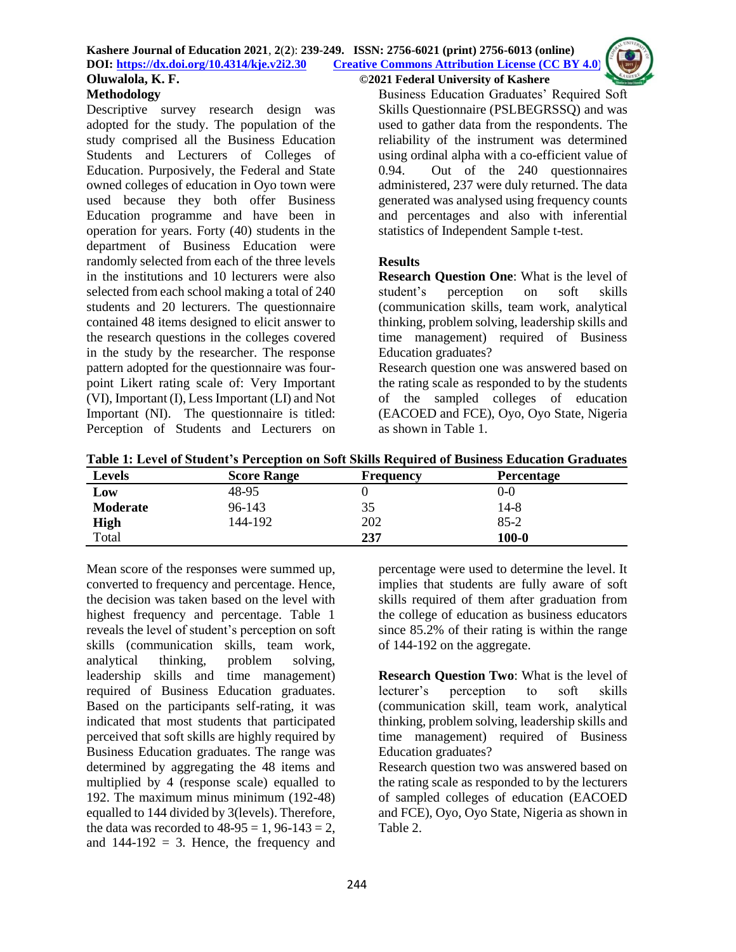

Descriptive survey research design was adopted for the study. The population of the study comprised all the Business Education Students and Lecturers of Colleges of Education. Purposively, the Federal and State owned colleges of education in Oyo town were used because they both offer Business Education programme and have been in operation for years. Forty (40) students in the department of Business Education were randomly selected from each of the three levels in the institutions and 10 lecturers were also selected from each school making a total of 240 students and 20 lecturers. The questionnaire contained 48 items designed to elicit answer to the research questions in the colleges covered in the study by the researcher. The response pattern adopted for the questionnaire was fourpoint Likert rating scale of: Very Important (VI), Important (I), Less Important (LI) and Not Important (NI). The questionnaire is titled: Perception of Students and Lecturers on Business Education Graduates' Required Soft Skills Questionnaire (PSLBEGRSSQ) and was used to gather data from the respondents. The reliability of the instrument was determined using ordinal alpha with a co-efficient value of 0.94. Out of the 240 questionnaires administered, 237 were duly returned. The data generated was analysed using frequency counts and percentages and also with inferential statistics of Independent Sample t-test.

# **Results**

**Research Question One**: What is the level of student's perception on soft skills (communication skills, team work, analytical thinking, problem solving, leadership skills and time management) required of Business Education graduates?

Research question one was answered based on the rating scale as responded to by the students of the sampled colleges of education (EACOED and FCE), Oyo, Oyo State, Nigeria as shown in Table 1.

| <b>Levels</b>   | <b>Score Range</b> | <b>Frequency</b> | <b>Percentage</b> |
|-----------------|--------------------|------------------|-------------------|
| Low             | 48-95              |                  | 0-0               |
| <b>Moderate</b> | 96-143             | 35               | 14-8              |
| <b>High</b>     | 144-192            | 202              | $85-2$            |
| Total           |                    | 237              | $100 - 0$         |

Mean score of the responses were summed up, converted to frequency and percentage. Hence, the decision was taken based on the level with highest frequency and percentage. Table 1 reveals the level of student's perception on soft skills (communication skills, team work, analytical thinking, problem solving, leadership skills and time management) required of Business Education graduates. Based on the participants self-rating, it was indicated that most students that participated perceived that soft skills are highly required by Business Education graduates. The range was determined by aggregating the 48 items and multiplied by 4 (response scale) equalled to 192. The maximum minus minimum (192-48) equalled to 144 divided by 3(levels). Therefore, the data was recorded to  $48-95 = 1, 96-143 = 2$ , and  $144-192 = 3$ . Hence, the frequency and

percentage were used to determine the level. It implies that students are fully aware of soft skills required of them after graduation from the college of education as business educators since 85.2% of their rating is within the range of 144-192 on the aggregate.

**Research Question Two**: What is the level of lecturer's perception to soft skills (communication skill, team work, analytical thinking, problem solving, leadership skills and time management) required of Business Education graduates? Research question two was answered based on

the rating scale as responded to by the lecturers of sampled colleges of education (EACOED and FCE), Oyo, Oyo State, Nigeria as shown in Table 2.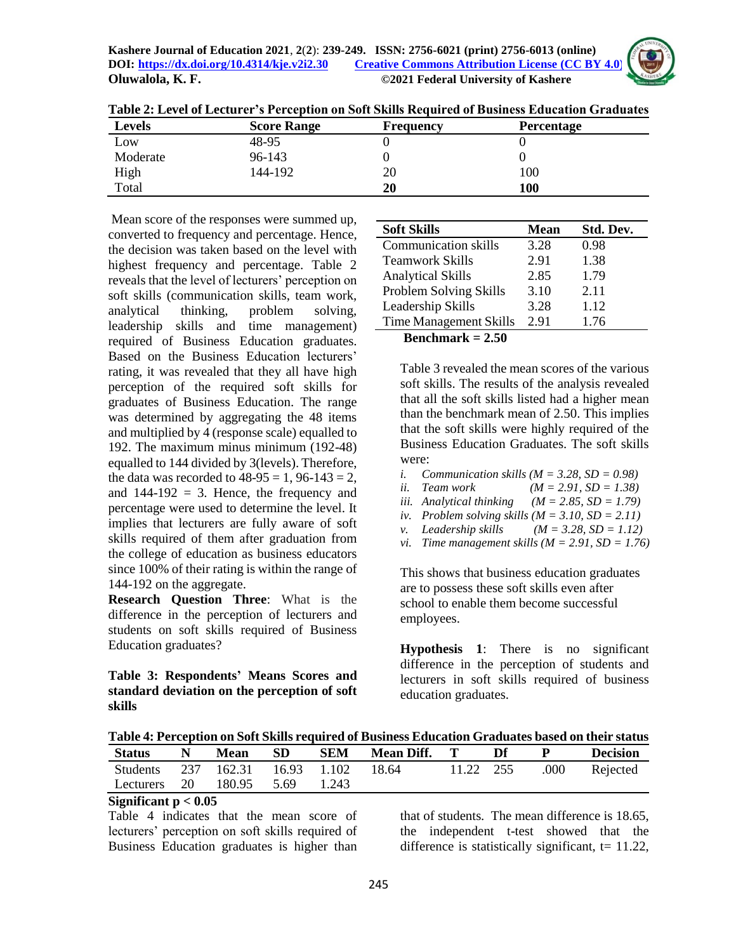

| TANYIA WA INA ATA TA TANYIA YA YA KANANZIA ANA MATA MATHA TIKA ANA ATA ILIHINI TA MATIKA MATA TA MATA TA TA MA |                    |                  |                   |  |  |  |  |  |
|----------------------------------------------------------------------------------------------------------------|--------------------|------------------|-------------------|--|--|--|--|--|
| <b>Levels</b>                                                                                                  | <b>Score Range</b> | <b>Frequency</b> | <b>Percentage</b> |  |  |  |  |  |
| Low                                                                                                            | 48-95              |                  |                   |  |  |  |  |  |
| Moderate                                                                                                       | 96-143             |                  |                   |  |  |  |  |  |
| High                                                                                                           | 144-192            | 20               | 100               |  |  |  |  |  |

Total **20 100**

**Table 2: Level of Lecturer's Perception on Soft Skills Required of Business Education Graduates**

Mean score of the responses were summed up, converted to frequency and percentage. Hence, the decision was taken based on the level with highest frequency and percentage. Table 2 reveals that the level of lecturers' perception on soft skills (communication skills, team work, analytical thinking, problem solving, leadership skills and time management) required of Business Education graduates. Based on the Business Education lecturers' rating, it was revealed that they all have high perception of the required soft skills for graduates of Business Education. The range was determined by aggregating the 48 items and multiplied by 4 (response scale) equalled to 192. The maximum minus minimum (192-48) equalled to 144 divided by 3(levels). Therefore, the data was recorded to  $48-95 = 1$ ,  $96-143 = 2$ , and  $144-192 = 3$ . Hence, the frequency and percentage were used to determine the level. It implies that lecturers are fully aware of soft skills required of them after graduation from the college of education as business educators since 100% of their rating is within the range of 144-192 on the aggregate.

**Research Question Three**: What is the difference in the perception of lecturers and students on soft skills required of Business Education graduates?

**Table 3: Respondents' Means Scores and standard deviation on the perception of soft skills**

| <b>Soft Skills</b>            | <b>Mean</b> | Std. Dev. |
|-------------------------------|-------------|-----------|
| <b>Communication skills</b>   | 3.28        | 0.98      |
| <b>Teamwork Skills</b>        | 2.91        | 1.38      |
| <b>Analytical Skills</b>      | 2.85        | 1.79      |
| Problem Solving Skills        | 3.10        | 2.11      |
| Leadership Skills             | 3.28        | 1.12      |
| <b>Time Management Skills</b> | 2.91        | 1.76      |
| Benchmark = 2.50              |             |           |

Table 3 revealed the mean scores of the various soft skills. The results of the analysis revealed that all the soft skills listed had a higher mean than the benchmark mean of 2.50. This implies that the soft skills were highly required of the Business Education Graduates. The soft skills were:

- *i. Communication skills*  $(M = 3.28, SD = 0.98)$
- *ii. Team work (M = 2.91, SD = 1.38)*
- *iii. Analytical thinking*  $(M = 2.85, SD = 1.79)$
- *iv. Problem solving skills*  $(M = 3.10, SD = 2.11)$
- *v. Leadership skills (M = 3.28, SD = 1.12)*
- *vi. Time management skills*  $(M = 2.91, SD = 1.76)$

This shows that business education graduates are to possess these soft skills even after school to enable them become successful employees.

**Hypothesis 1**: There is no significant difference in the perception of students and lecturers in soft skills required of business education graduates.

**Table 4: Perception on Soft Skills required of Business Education Graduates based on their status**

| Status                                | Mean        | - SD | SEM   | <b>Mean Diff.</b> T |           | Df |      | <b>Decision</b> |
|---------------------------------------|-------------|------|-------|---------------------|-----------|----|------|-----------------|
| Students 237 162.31 16.93 1.102 18.64 |             |      |       |                     | 11.22 255 |    | .000 | Rejected        |
| Lecturers 20                          | 180.95 5.69 |      | 1.243 |                     |           |    |      |                 |

### **Significant p < 0.05**

Table 4 indicates that the mean score of lecturers' perception on soft skills required of Business Education graduates is higher than

that of students. The mean difference is 18.65, the independent t-test showed that the difference is statistically significant,  $t = 11.22$ ,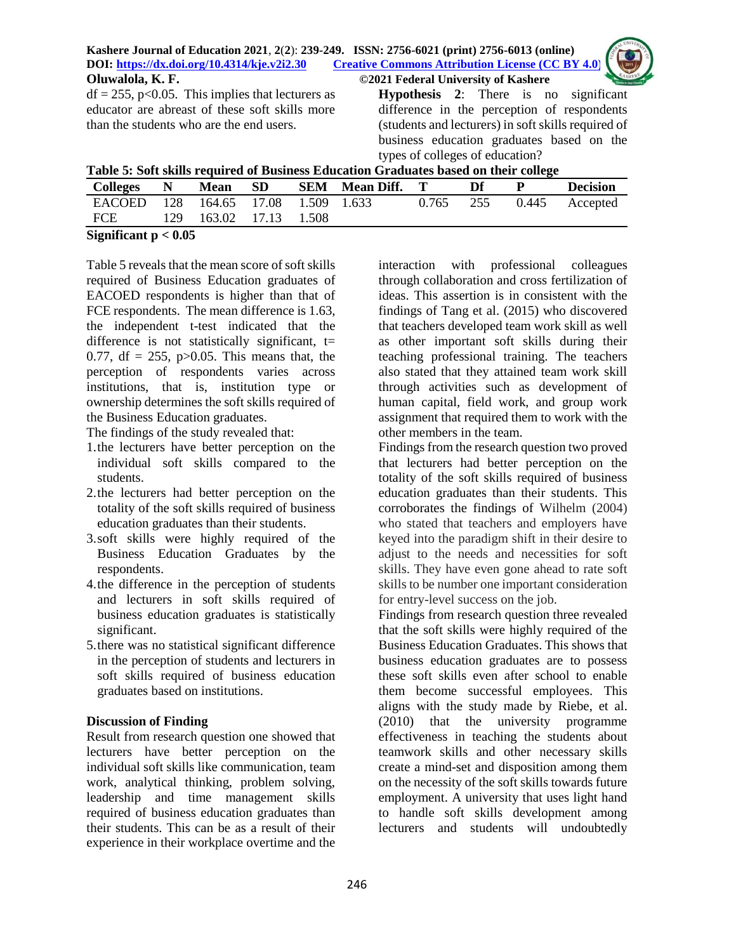| Kashere Journal of Education 2021, 2(2): 239-249. ISSN: 2756-6021 (print) 2756-6013 (online) | 249. ISSN: 2756-6021 (print) 2756-6013 (online)<br>Creative Commons Attribution License (CC BY 4.0) |  |
|----------------------------------------------------------------------------------------------|-----------------------------------------------------------------------------------------------------|--|
| DOI: https://dx.doi.org/10.4314/kje.v2i2.30                                                  |                                                                                                     |  |
| Oluwalola, K. F.                                                                             | ©2021 Federal University of Kashere                                                                 |  |
| $df = 255$ , p<0.05. This implies that lecturers as                                          | <b>Hypothesis</b> 2: There is no significant                                                        |  |
|                                                                                              | $1! C C$ and $1! C C$ is the set of $1/2$                                                           |  |

educator are abreast of these soft skills more than the students who are the end users.

difference in the perception of respondents (students and lecturers) in soft skills required of business education graduates based on the types of colleges of education?

| Table 5: Soft skills required of Business Education Graduates based on their college |  |  |
|--------------------------------------------------------------------------------------|--|--|
|                                                                                      |  |  |
|                                                                                      |  |  |

| Colleges N                          |  | Mean SD                |  |  | <b>SEM</b> Mean Diff. T |  | Df        | - p | <b>Decision</b> |
|-------------------------------------|--|------------------------|--|--|-------------------------|--|-----------|-----|-----------------|
| EACOED 128 164.65 17.08 1.509 1.633 |  |                        |  |  |                         |  | 0.765 255 |     | 0.445 Accepted  |
| FCE                                 |  | 129 163.02 17.13 1.508 |  |  |                         |  |           |     |                 |
| $Cianification \times 0.05$         |  |                        |  |  |                         |  |           |     |                 |

**Significant p < 0.05**

Table 5 reveals that the mean score of soft skills required of Business Education graduates of EACOED respondents is higher than that of FCE respondents. The mean difference is 1.63, the independent t-test indicated that the difference is not statistically significant,  $t=$ 0.77, df = 255,  $p > 0.05$ . This means that, the perception of respondents varies across institutions, that is, institution type or ownership determines the soft skills required of the Business Education graduates.

The findings of the study revealed that:

- 1.the lecturers have better perception on the individual soft skills compared to the students.
- 2.the lecturers had better perception on the totality of the soft skills required of business education graduates than their students.
- 3.soft skills were highly required of the Business Education Graduates by the respondents.
- 4.the difference in the perception of students and lecturers in soft skills required of business education graduates is statistically significant.
- 5.there was no statistical significant difference in the perception of students and lecturers in soft skills required of business education graduates based on institutions.

# **Discussion of Finding**

Result from research question one showed that lecturers have better perception on the individual soft skills like communication, team work, analytical thinking, problem solving, leadership and time management skills required of business education graduates than their students. This can be as a result of their experience in their workplace overtime and the

interaction with professional colleagues through collaboration and cross fertilization of ideas. This assertion is in consistent with the findings of Tang et al. (2015) who discovered that teachers developed team work skill as well as other important soft skills during their teaching professional training. The teachers also stated that they attained team work skill through activities such as development of human capital, field work, and group work assignment that required them to work with the other members in the team.

Findings from the research question two proved that lecturers had better perception on the totality of the soft skills required of business education graduates than their students. This corroborates the findings of Wilhelm (2004) who stated that teachers and employers have keyed into the paradigm shift in their desire to adjust to the needs and necessities for soft skills. They have even gone ahead to rate soft skills to be number one important consideration for entry-level success on the job.

Findings from research question three revealed that the soft skills were highly required of the Business Education Graduates. This shows that business education graduates are to possess these soft skills even after school to enable them become successful employees. This aligns with the study made by Riebe, et al. (2010) that the university programme effectiveness in teaching the students about teamwork skills and other necessary skills create a mind-set and disposition among them on the necessity of the soft skills towards future employment. A university that uses light hand to handle soft skills development among lecturers and students will undoubtedly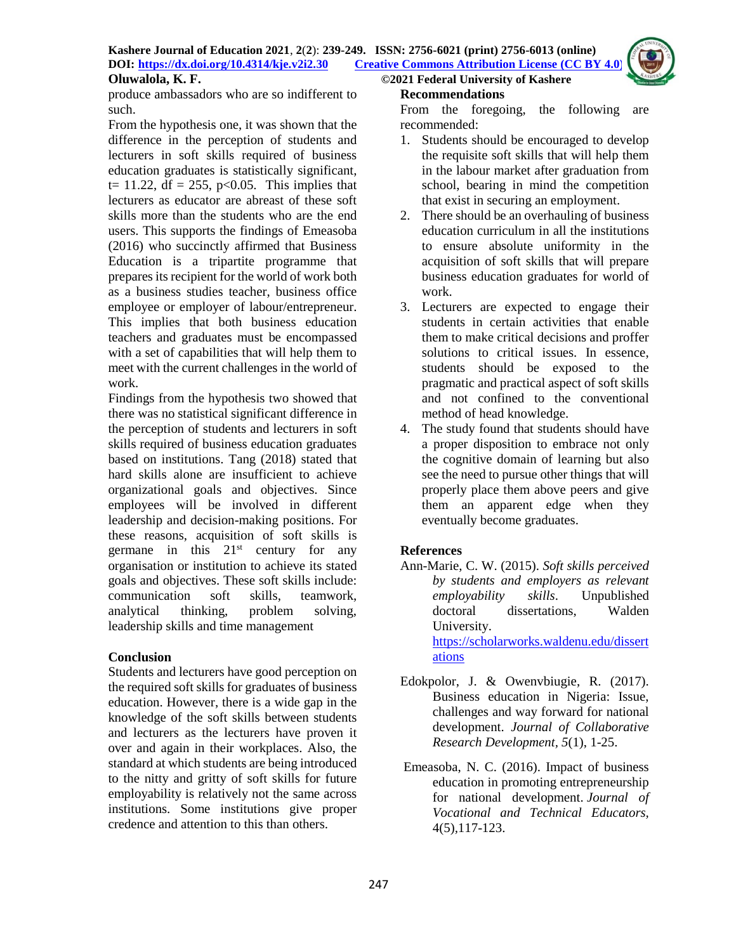

produce ambassadors who are so indifferent to such.

From the hypothesis one, it was shown that the difference in the perception of students and lecturers in soft skills required of business education graduates is statistically significant, t= 11.22, df = 255, p<0.05. This implies that lecturers as educator are abreast of these soft skills more than the students who are the end users. This supports the findings of Emeasoba (2016) who succinctly affirmed that Business Education is a tripartite programme that prepares its recipient for the world of work both as a business studies teacher, business office employee or employer of labour/entrepreneur. This implies that both business education teachers and graduates must be encompassed with a set of capabilities that will help them to meet with the current challenges in the world of work.

Findings from the hypothesis two showed that there was no statistical significant difference in the perception of students and lecturers in soft skills required of business education graduates based on institutions. Tang (2018) stated that hard skills alone are insufficient to achieve organizational goals and objectives. Since employees will be involved in different leadership and decision-making positions. For these reasons, acquisition of soft skills is germane in this  $21<sup>st</sup>$  century for any organisation or institution to achieve its stated goals and objectives. These soft skills include: communication soft skills, teamwork, analytical thinking, problem solving, leadership skills and time management

### **Conclusion**

Students and lecturers have good perception on the required soft skills for graduates of business education. However, there is a wide gap in the knowledge of the soft skills between students and lecturers as the lecturers have proven it over and again in their workplaces. Also, the standard at which students are being introduced to the nitty and gritty of soft skills for future employability is relatively not the same across institutions. Some institutions give proper credence and attention to this than others.

## **Recommendations**

From the foregoing, the following are recommended:

- 1. Students should be encouraged to develop the requisite soft skills that will help them in the labour market after graduation from school, bearing in mind the competition that exist in securing an employment.
- 2. There should be an overhauling of business education curriculum in all the institutions to ensure absolute uniformity in the acquisition of soft skills that will prepare business education graduates for world of work.
- 3. Lecturers are expected to engage their students in certain activities that enable them to make critical decisions and proffer solutions to critical issues. In essence, students should be exposed to the pragmatic and practical aspect of soft skills and not confined to the conventional method of head knowledge.
- 4. The study found that students should have a proper disposition to embrace not only the cognitive domain of learning but also see the need to pursue other things that will properly place them above peers and give them an apparent edge when they eventually become graduates.

# **References**

Ann-Marie, C. W. (2015). *Soft skills perceived by students and employers as relevant employability skills*. Unpublished doctoral dissertations, Walden University.

[https://scholarworks.waldenu.edu/dissert](https://scholarworks.waldenu.edu/dissertations) [ations](https://scholarworks.waldenu.edu/dissertations)

- Edokpolor, J. & Owenvbiugie, R. (2017). Business education in Nigeria: Issue, challenges and way forward for national development. *Journal of Collaborative Research Development, 5*(1), 1-25.
- Emeasoba, N. C. (2016). Impact of business education in promoting entrepreneurship for national development. *Journal of Vocational and Technical Educators,*  4(5)*,*117-123.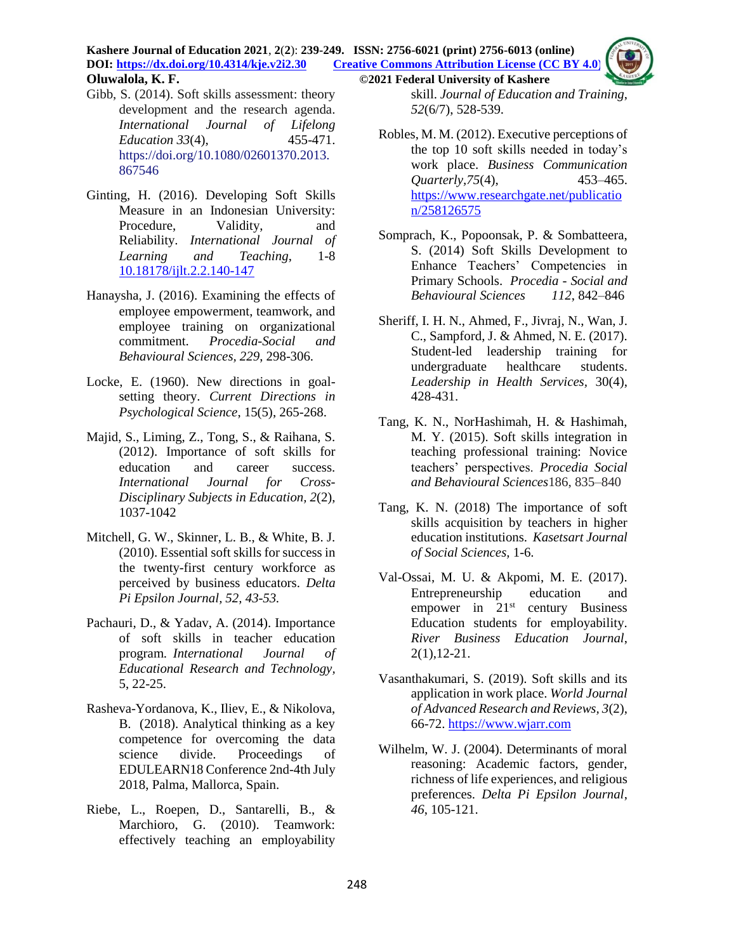**Kashere Journal of Education 2021**, **2**(**2**): **239-249. ISSN: 2756-6021 (print) 2756-6013 (online) DOI: <https://dx.doi.org/10.4314/kje.v2i2.30> [Creative Commons Attribution License](http://creativecommons.org/licenses/by/4.0/) (CC BY 4.0) Oluwalola, K. F. ©2021 Federal University of Kashere**

- Gibb, S. (2014). Soft skills assessment: theory development and the research agenda. *International Journal of Lifelong Education 33*(4), 455-471. [https://doi.org/10.1080/02601370.2013.](https://doi.org/10.1080/02601370.2013.867546) [867546](https://doi.org/10.1080/02601370.2013.867546)
- Ginting, H. (2016). Developing Soft Skills Measure in an Indonesian University: Procedure, Validity, and Reliability. *International Journal of Learning and Teaching*, 1-8 [10.18178/ijlt.2.2.140-147](http://dx.doi.org/10.18178/ijlt.2.2.140-147)
- Hanaysha, J. (2016). Examining the effects of employee empowerment, teamwork, and employee training on organizational commitment. *Procedia-Social and Behavioural Sciences, 229*, 298-306.
- Locke, E. (1960). New directions in goalsetting theory. *Current Directions in Psychological Science*, 15(5), 265-268.
- Majid, S., Liming, Z., Tong, S., & Raihana, S. (2012). Importance of soft skills for education and career success. *International Journal for Cross-Disciplinary Subjects in Education, 2*(2), 1037-1042
- Mitchell, G. W., Skinner, L. B., & White, B. J. (2010). Essential soft skills for success in the twenty-first century workforce as perceived by business educators. *Delta Pi Epsilon Journal, 52, 43-53.*
- Pachauri, D., & Yadav, A. (2014). Importance of soft skills in teacher education program. *International Journal of Educational Research and Technology,* 5, 22-25.
- Rasheva-Yordanova, K., Iliev, E., & Nikolova, B. (2018). Analytical thinking as a key competence for overcoming the data science divide. Proceedings of EDULEARN18 Conference 2nd-4th July 2018, Palma, Mallorca, Spain.
- Riebe, L., Roepen, D., Santarelli, B., & Marchioro, G. (2010). Teamwork: effectively teaching an employability

skill. *Journal of Education and Training*, *52*(6/7), 528-539.

- Robles, M. M. (2012). Executive perceptions of the top 10 soft skills needed in today's work place. *Business Communication Quarterly,75*(4), 453–465. [https://www.researchgate.net/publicatio](https://www.researchgate.net/publication/258126575) [n/258126575](https://www.researchgate.net/publication/258126575)
- Somprach, K., Popoonsak, P. & Sombatteera, S. (2014) Soft Skills Development to Enhance Teachers' Competencies in Primary Schools. *Procedia - Social and Behavioural Sciences 112*, 842–846
- Sheriff, I. H. N., Ahmed, F., Jivraj, N., Wan, J. C., Sampford, J. & Ahmed, N. E. (2017). Student-led leadership training for undergraduate healthcare students. *Leadership in Health Services,* 30(4), 428-431.
- Tang, K. N., NorHashimah, H. & Hashimah, M. Y. (2015). Soft skills integration in teaching professional training: Novice teachers' perspectives. *Procedia Social and Behavioural Sciences*186, 835–840
- Tang, K. N. (2018) The importance of soft skills acquisition by teachers in higher education institutions. *Kasetsart Journal of Social Sciences,* 1-6.
- Val-Ossai, M. U. & Akpomi, M. E. (2017). Entrepreneurship education and empower in 21<sup>st</sup> century Business Education students for employability. *River Business Education Journal*, 2(1),12-21.
- Vasanthakumari, S. (2019). Soft skills and its application in work place. *World Journal of Advanced Research and Reviews, 3*(2), 66-72. [https://www.wjarr.com](https://www.wjarr.com/)
- Wilhelm, W. J. (2004). Determinants of moral reasoning: Academic factors, gender, richness of life experiences, and religious preferences. *Delta Pi Epsilon Journal*, *46*, 105-121.